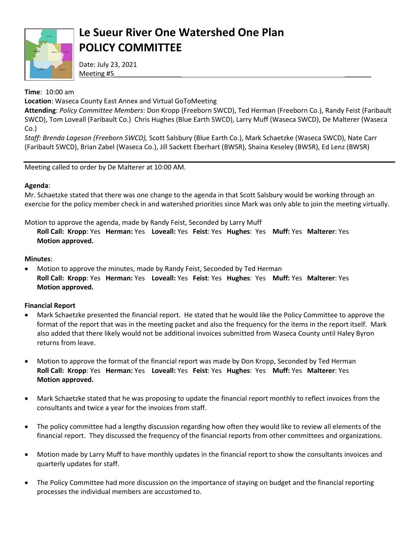

# **Le Sueur River One Watershed One Plan POLICY COMMITTEE**

Date: July 23, 2021 Meeting #5\_\_\_\_\_\_\_\_\_\_\_\_\_\_\_\_\_\_ \_\_\_\_\_\_\_

**Time**: 10:00 am

**Location**: Waseca County East Annex and Virtual GoToMeeting

**Attending**: *Policy Committee Members*: Don Kropp (Freeborn SWCD), Ted Herman (Freeborn Co.), Randy Feist (Faribault SWCD), Tom Loveall (Faribault Co.) Chris Hughes (Blue Earth SWCD), Larry Muff (Waseca SWCD), De Malterer (Waseca Co.)

*Staff: Brenda Lageson (Freeborn SWCD),* Scott Salsbury (Blue Earth Co.), Mark Schaetzke (Waseca SWCD), Nate Carr (Faribault SWCD), Brian Zabel (Waseca Co.), Jill Sackett Eberhart (BWSR), Shaina Keseley (BWSR), Ed Lenz (BWSR)

Meeting called to order by De Malterer at 10:00 AM.

### **Agenda**:

Mr. Schaetzke stated that there was one change to the agenda in that Scott Salsbury would be working through an exercise for the policy member check in and watershed priorities since Mark was only able to join the meeting virtually.

Motion to approve the agenda, made by Randy Feist, Seconded by Larry Muff

**Roll Call: Kropp**: Yes **Herman:** Yes **Loveall:** Yes **Feist**: Yes **Hughes**: Yes **Muff:** Yes **Malterer**: Yes **Motion approved.** 

### **Minutes**:

 Motion to approve the minutes, made by Randy Feist, Seconded by Ted Herman **Roll Call: Kropp**: Yes **Herman:** Yes **Loveall:** Yes **Feist**: Yes **Hughes**: Yes **Muff:** Yes **Malterer**: Yes **Motion approved.** 

### **Financial Report**

- Mark Schaetzke presented the financial report. He stated that he would like the Policy Committee to approve the format of the report that was in the meeting packet and also the frequency for the items in the report itself. Mark also added that there likely would not be additional invoices submitted from Waseca County until Haley Byron returns from leave.
- Motion to approve the format of the financial report was made by Don Kropp, Seconded by Ted Herman **Roll Call: Kropp**: Yes **Herman:** Yes **Loveall:** Yes **Feist**: Yes **Hughes**: Yes **Muff:** Yes **Malterer**: Yes **Motion approved.**
- Mark Schaetzke stated that he was proposing to update the financial report monthly to reflect invoices from the consultants and twice a year for the invoices from staff.
- The policy committee had a lengthy discussion regarding how often they would like to review all elements of the financial report. They discussed the frequency of the financial reports from other committees and organizations.
- Motion made by Larry Muff to have monthly updates in the financial report to show the consultants invoices and quarterly updates for staff.
- The Policy Committee had more discussion on the importance of staying on budget and the financial reporting processes the individual members are accustomed to.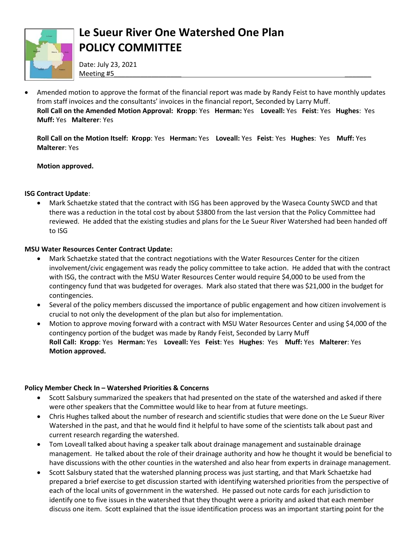

# **Le Sueur River One Watershed One Plan POLICY COMMITTEE**

Date: July 23, 2021 Meeting #5\_\_\_\_\_\_\_\_\_\_\_\_\_\_\_\_\_\_ \_\_\_\_\_\_\_

 Amended motion to approve the format of the financial report was made by Randy Feist to have monthly updates from staff invoices and the consultants' invoices in the financial report, Seconded by Larry Muff. **Roll Call on the Amended Motion Approval: Kropp**: Yes **Herman:** Yes **Loveall:** Yes **Feist**: Yes **Hughes**: Yes **Muff:** Yes **Malterer**: Yes

**Roll Call on the Motion Itself: Kropp**: Yes **Herman:** Yes **Loveall:** Yes **Feist**: Yes **Hughes**: Yes **Muff:** Yes **Malterer**: Yes

#### **Motion approved.**

#### **ISG Contract Update**:

 Mark Schaetzke stated that the contract with ISG has been approved by the Waseca County SWCD and that there was a reduction in the total cost by about \$3800 from the last version that the Policy Committee had reviewed. He added that the existing studies and plans for the Le Sueur River Watershed had been handed off to ISG

#### **MSU Water Resources Center Contract Update:**

- Mark Schaetzke stated that the contract negotiations with the Water Resources Center for the citizen involvement/civic engagement was ready the policy committee to take action. He added that with the contract with ISG, the contract with the MSU Water Resources Center would require \$4,000 to be used from the contingency fund that was budgeted for overages. Mark also stated that there was \$21,000 in the budget for contingencies.
- Several of the policy members discussed the importance of public engagement and how citizen involvement is crucial to not only the development of the plan but also for implementation.
- Motion to approve moving forward with a contract with MSU Water Resources Center and using \$4,000 of the contingency portion of the budget was made by Randy Feist, Seconded by Larry Muff **Roll Call: Kropp**: Yes **Herman:** Yes **Loveall:** Yes **Feist**: Yes **Hughes**: Yes **Muff:** Yes **Malterer**: Yes **Motion approved.**

#### **Policy Member Check In – Watershed Priorities & Concerns**

- Scott Salsbury summarized the speakers that had presented on the state of the watershed and asked if there were other speakers that the Committee would like to hear from at future meetings.
- Chris Hughes talked about the number of research and scientific studies that were done on the Le Sueur River Watershed in the past, and that he would find it helpful to have some of the scientists talk about past and current research regarding the watershed.
- Tom Loveall talked about having a speaker talk about drainage management and sustainable drainage management. He talked about the role of their drainage authority and how he thought it would be beneficial to have discussions with the other counties in the watershed and also hear from experts in drainage management.
- Scott Salsbury stated that the watershed planning process was just starting, and that Mark Schaetzke had prepared a brief exercise to get discussion started with identifying watershed priorities from the perspective of each of the local units of government in the watershed. He passed out note cards for each jurisdiction to identify one to five issues in the watershed that they thought were a priority and asked that each member discuss one item. Scott explained that the issue identification process was an important starting point for the